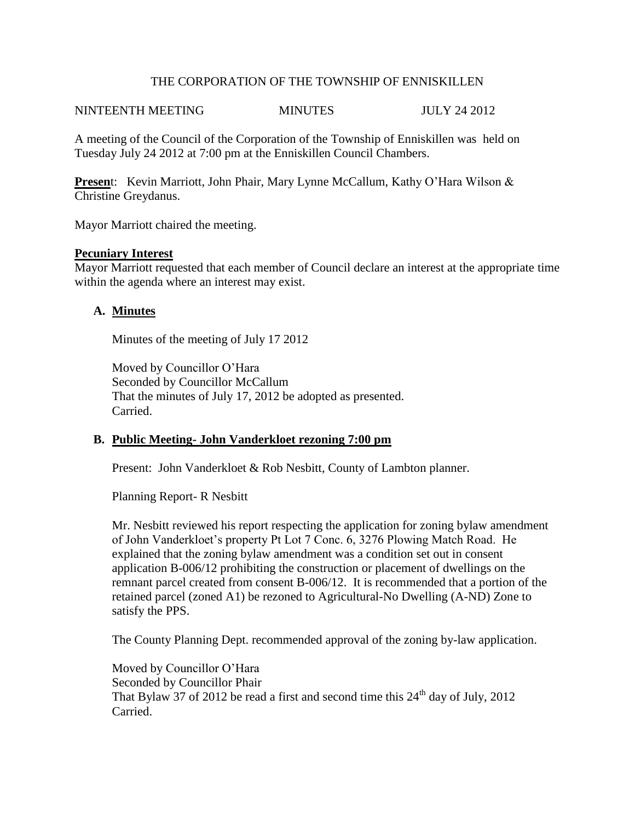#### THE CORPORATION OF THE TOWNSHIP OF ENNISKILLEN

### NINTEENTH MEETING MINUTES JULY 24 2012

A meeting of the Council of the Corporation of the Township of Enniskillen was held on Tuesday July 24 2012 at 7:00 pm at the Enniskillen Council Chambers.

**Presen**t: Kevin Marriott, John Phair, Mary Lynne McCallum, Kathy O'Hara Wilson & Christine Greydanus.

Mayor Marriott chaired the meeting.

#### **Pecuniary Interest**

Mayor Marriott requested that each member of Council declare an interest at the appropriate time within the agenda where an interest may exist.

### **A. Minutes**

Minutes of the meeting of July 17 2012

Moved by Councillor O'Hara Seconded by Councillor McCallum That the minutes of July 17, 2012 be adopted as presented. Carried.

#### **B. Public Meeting- John Vanderkloet rezoning 7:00 pm**

Present: John Vanderkloet & Rob Nesbitt, County of Lambton planner.

Planning Report- R Nesbitt

Mr. Nesbitt reviewed his report respecting the application for zoning bylaw amendment of John Vanderkloet's property Pt Lot 7 Conc. 6, 3276 Plowing Match Road. He explained that the zoning bylaw amendment was a condition set out in consent application B-006/12 prohibiting the construction or placement of dwellings on the remnant parcel created from consent B-006/12. It is recommended that a portion of the retained parcel (zoned A1) be rezoned to Agricultural-No Dwelling (A-ND) Zone to satisfy the PPS.

The County Planning Dept. recommended approval of the zoning by-law application.

Moved by Councillor O'Hara Seconded by Councillor Phair That Bylaw 37 of 2012 be read a first and second time this  $24<sup>th</sup>$  day of July, 2012 Carried.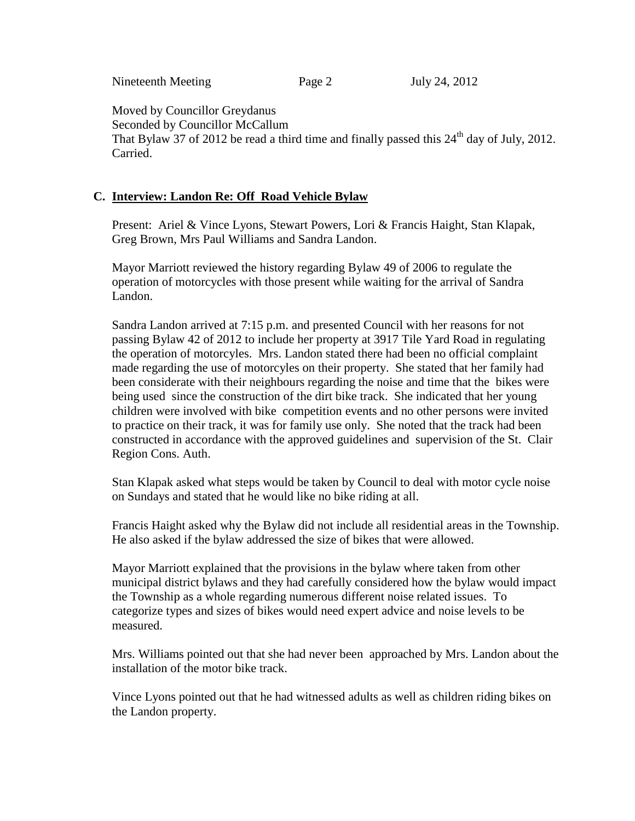Nineteenth Meeting Page 2 July 24, 2012

Moved by Councillor Greydanus

Seconded by Councillor McCallum That Bylaw 37 of 2012 be read a third time and finally passed this  $24<sup>th</sup>$  day of July, 2012. Carried.

# **C. Interview: Landon Re: Off Road Vehicle Bylaw**

Present: Ariel & Vince Lyons, Stewart Powers, Lori & Francis Haight, Stan Klapak, Greg Brown, Mrs Paul Williams and Sandra Landon.

Mayor Marriott reviewed the history regarding Bylaw 49 of 2006 to regulate the operation of motorcycles with those present while waiting for the arrival of Sandra Landon.

Sandra Landon arrived at 7:15 p.m. and presented Council with her reasons for not passing Bylaw 42 of 2012 to include her property at 3917 Tile Yard Road in regulating the operation of motorcyles. Mrs. Landon stated there had been no official complaint made regarding the use of motorcyles on their property. She stated that her family had been considerate with their neighbours regarding the noise and time that the bikes were being used since the construction of the dirt bike track. She indicated that her young children were involved with bike competition events and no other persons were invited to practice on their track, it was for family use only. She noted that the track had been constructed in accordance with the approved guidelines and supervision of the St. Clair Region Cons. Auth.

Stan Klapak asked what steps would be taken by Council to deal with motor cycle noise on Sundays and stated that he would like no bike riding at all.

Francis Haight asked why the Bylaw did not include all residential areas in the Township. He also asked if the bylaw addressed the size of bikes that were allowed.

Mayor Marriott explained that the provisions in the bylaw where taken from other municipal district bylaws and they had carefully considered how the bylaw would impact the Township as a whole regarding numerous different noise related issues. To categorize types and sizes of bikes would need expert advice and noise levels to be measured.

Mrs. Williams pointed out that she had never been approached by Mrs. Landon about the installation of the motor bike track.

Vince Lyons pointed out that he had witnessed adults as well as children riding bikes on the Landon property.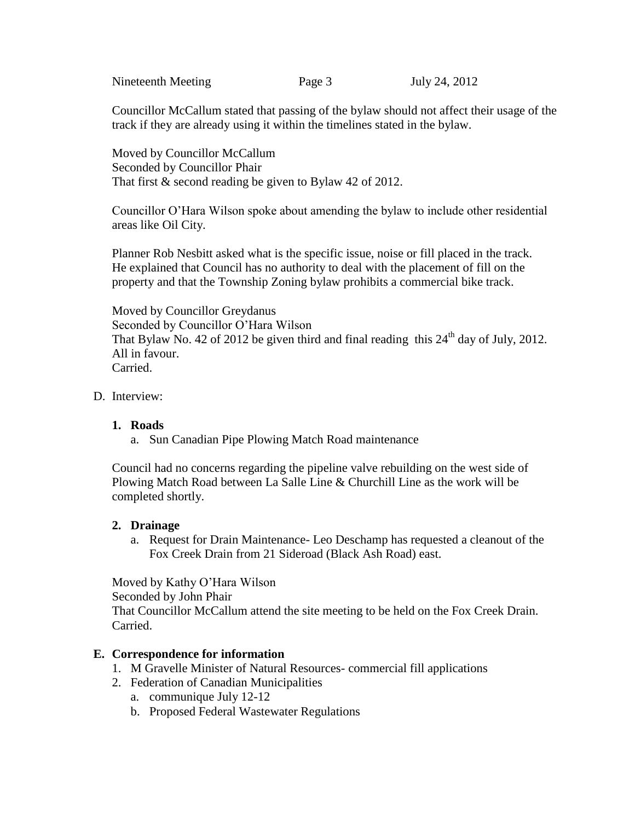Nineteenth Meeting Page 3 July 24, 2012

Councillor McCallum stated that passing of the bylaw should not affect their usage of the track if they are already using it within the timelines stated in the bylaw.

Moved by Councillor McCallum Seconded by Councillor Phair That first & second reading be given to Bylaw 42 of 2012.

Councillor O'Hara Wilson spoke about amending the bylaw to include other residential areas like Oil City.

Planner Rob Nesbitt asked what is the specific issue, noise or fill placed in the track. He explained that Council has no authority to deal with the placement of fill on the property and that the Township Zoning bylaw prohibits a commercial bike track.

Moved by Councillor Greydanus Seconded by Councillor O'Hara Wilson That Bylaw No. 42 of 2012 be given third and final reading this  $24<sup>th</sup>$  day of July, 2012. All in favour. Carried.

D. Interview:

## **1. Roads**

a. Sun Canadian Pipe Plowing Match Road maintenance

Council had no concerns regarding the pipeline valve rebuilding on the west side of Plowing Match Road between La Salle Line & Churchill Line as the work will be completed shortly.

### **2. Drainage**

a. Request for Drain Maintenance- Leo Deschamp has requested a cleanout of the Fox Creek Drain from 21 Sideroad (Black Ash Road) east.

Moved by Kathy O'Hara Wilson Seconded by John Phair That Councillor McCallum attend the site meeting to be held on the Fox Creek Drain. Carried.

## **E. Correspondence for information**

- 1. M Gravelle Minister of Natural Resources- commercial fill applications
- 2. Federation of Canadian Municipalities
	- a. communique July 12-12
	- b. Proposed Federal Wastewater Regulations